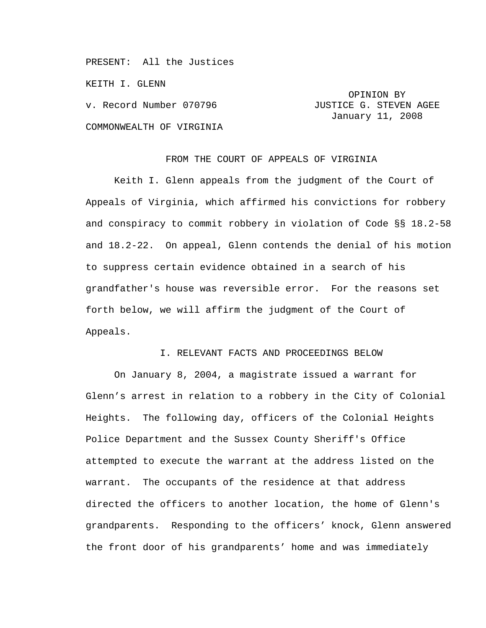PRESENT: All the Justices

KEITH I. GLENN

COMMONWEALTH OF VIRGINIA

# OPINION BY v. Record Number 070796 **JUSTICE G. STEVEN AGEE** January 11, 2008

#### FROM THE COURT OF APPEALS OF VIRGINIA

Keith I. Glenn appeals from the judgment of the Court of Appeals of Virginia, which affirmed his convictions for robbery and conspiracy to commit robbery in violation of Code §§ 18.2-58 and 18.2-22. On appeal, Glenn contends the denial of his motion to suppress certain evidence obtained in a search of his grandfather's house was reversible error. For the reasons set forth below, we will affirm the judgment of the Court of Appeals.

# I. RELEVANT FACTS AND PROCEEDINGS BELOW

 On January 8, 2004, a magistrate issued a warrant for Glenn's arrest in relation to a robbery in the City of Colonial Heights. The following day, officers of the Colonial Heights Police Department and the Sussex County Sheriff's Office attempted to execute the warrant at the address listed on the warrant. The occupants of the residence at that address directed the officers to another location, the home of Glenn's grandparents. Responding to the officers' knock, Glenn answered the front door of his grandparents' home and was immediately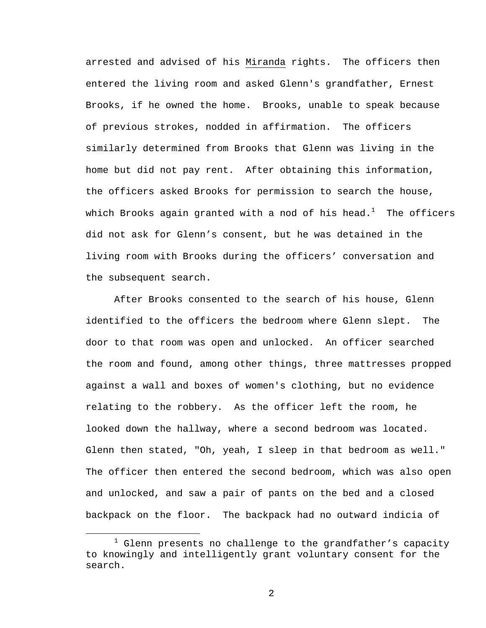arrested and advised of his Miranda rights. The officers then entered the living room and asked Glenn's grandfather, Ernest Brooks, if he owned the home. Brooks, unable to speak because of previous strokes, nodded in affirmation. The officers similarly determined from Brooks that Glenn was living in the home but did not pay rent. After obtaining this information, the officers asked Brooks for permission to search the house, which Brooks again granted with a nod of his head. $^1\;$  The officers did not ask for Glenn's consent, but he was detained in the living room with Brooks during the officers' conversation and the subsequent search.

 After Brooks consented to the search of his house, Glenn identified to the officers the bedroom where Glenn slept. The door to that room was open and unlocked. An officer searched the room and found, among other things, three mattresses propped against a wall and boxes of women's clothing, but no evidence relating to the robbery. As the officer left the room, he looked down the hallway, where a second bedroom was located. Glenn then stated, "Oh, yeah, I sleep in that bedroom as well." The officer then entered the second bedroom, which was also open and unlocked, and saw a pair of pants on the bed and a closed backpack on the floor. The backpack had no outward indicia of

<sup>&</sup>lt;u>1</u>  $1$  Glenn presents no challenge to the grandfather's capacity to knowingly and intelligently grant voluntary consent for the search.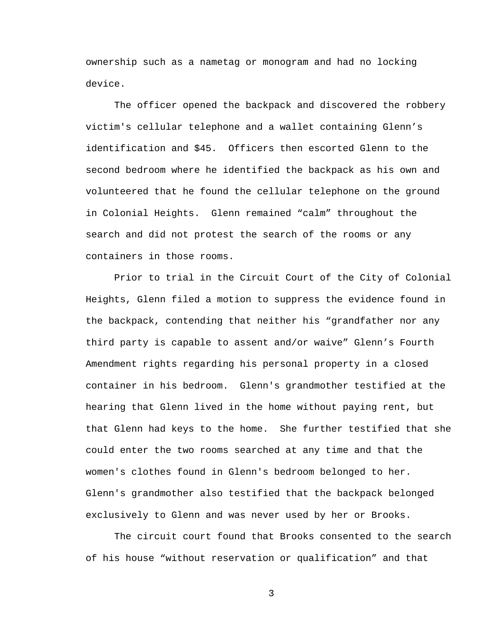ownership such as a nametag or monogram and had no locking device.

The officer opened the backpack and discovered the robbery victim's cellular telephone and a wallet containing Glenn's identification and \$45. Officers then escorted Glenn to the second bedroom where he identified the backpack as his own and volunteered that he found the cellular telephone on the ground in Colonial Heights. Glenn remained "calm" throughout the search and did not protest the search of the rooms or any containers in those rooms.

 Prior to trial in the Circuit Court of the City of Colonial Heights, Glenn filed a motion to suppress the evidence found in the backpack, contending that neither his "grandfather nor any third party is capable to assent and/or waive" Glenn's Fourth Amendment rights regarding his personal property in a closed container in his bedroom. Glenn's grandmother testified at the hearing that Glenn lived in the home without paying rent, but that Glenn had keys to the home. She further testified that she could enter the two rooms searched at any time and that the women's clothes found in Glenn's bedroom belonged to her. Glenn's grandmother also testified that the backpack belonged exclusively to Glenn and was never used by her or Brooks.

 The circuit court found that Brooks consented to the search of his house "without reservation or qualification" and that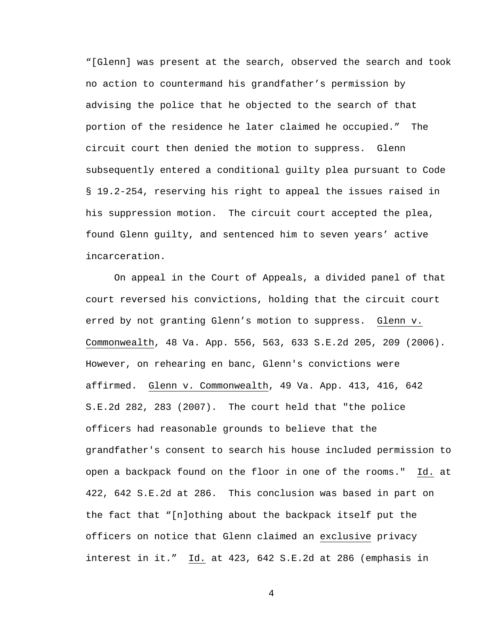"[Glenn] was present at the search, observed the search and took no action to countermand his grandfather's permission by advising the police that he objected to the search of that portion of the residence he later claimed he occupied." The circuit court then denied the motion to suppress. Glenn subsequently entered a conditional guilty plea pursuant to Code § 19.2-254, reserving his right to appeal the issues raised in his suppression motion. The circuit court accepted the plea, found Glenn guilty, and sentenced him to seven years' active incarceration.

On appeal in the Court of Appeals, a divided panel of that court reversed his convictions, holding that the circuit court erred by not granting Glenn's motion to suppress. Glenn v. Commonwealth, 48 Va. App. 556, 563, 633 S.E.2d 205, 209 (2006). However, on rehearing en banc, Glenn's convictions were affirmed. Glenn v. Commonwealth, 49 Va. App. 413, 416, 642 S.E.2d 282, 283 (2007). The court held that "the police officers had reasonable grounds to believe that the grandfather's consent to search his house included permission to open a backpack found on the floor in one of the rooms." Id. at 422, 642 S.E.2d at 286. This conclusion was based in part on the fact that "[n]othing about the backpack itself put the officers on notice that Glenn claimed an exclusive privacy interest in it." Id. at 423, 642 S.E.2d at 286 (emphasis in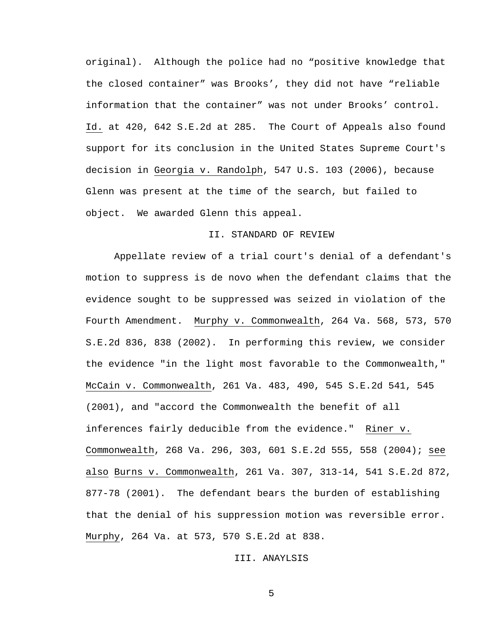original). Although the police had no "positive knowledge that the closed container" was Brooks', they did not have "reliable information that the container" was not under Brooks' control. Id. at 420, 642 S.E.2d at 285. The Court of Appeals also found support for its conclusion in the United States Supreme Court's decision in Georgia v. Randolph, 547 U.S. 103 (2006), because Glenn was present at the time of the search, but failed to object. We awarded Glenn this appeal.

## II. STANDARD OF REVIEW

Appellate review of a trial court's denial of a defendant's motion to suppress is de novo when the defendant claims that the evidence sought to be suppressed was seized in violation of the Fourth Amendment. Murphy v. Commonwealth, 264 Va. 568, 573, 570 S.E.2d 836, 838 (2002). In performing this review, we consider the evidence "in the light most favorable to the Commonwealth," McCain v. Commonwealth, 261 Va. 483, 490, 545 S.E.2d 541, 545 (2001), and "accord the Commonwealth the benefit of all inferences fairly deducible from the evidence." Riner v. Commonwealth, 268 Va. 296, 303, 601 S.E.2d 555, 558 (2004); see also Burns v. Commonwealth, 261 Va. 307, 313-14, 541 S.E.2d 872, 877-78 (2001). The defendant bears the burden of establishing that the denial of his suppression motion was reversible error. Murphy, 264 Va. at 573, 570 S.E.2d at 838.

## III. ANAYLSIS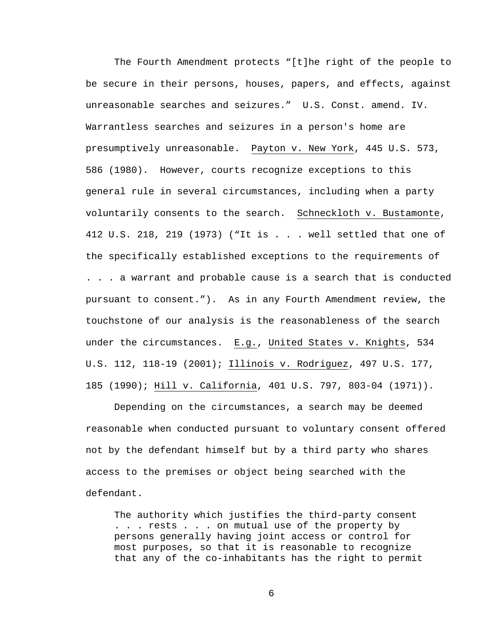The Fourth Amendment protects "[t]he right of the people to be secure in their persons, houses, papers, and effects, against unreasonable searches and seizures." U.S. Const. amend. IV. Warrantless searches and seizures in a person's home are presumptively unreasonable. Payton v. New York, 445 U.S. 573, 586 (1980). However, courts recognize exceptions to this general rule in several circumstances, including when a party voluntarily consents to the search. Schneckloth v. Bustamonte, 412 U.S. 218, 219 (1973) ("It is . . . well settled that one of the specifically established exceptions to the requirements of . . . a warrant and probable cause is a search that is conducted pursuant to consent."). As in any Fourth Amendment review, the touchstone of our analysis is the reasonableness of the search under the circumstances.  $E.g.,$  United States v. Knights, 534 U.S. 112, 118-19 (2001); Illinois v. Rodriguez, 497 U.S. 177, 185 (1990); Hill v. California, 401 U.S. 797, 803-04 (1971)).

Depending on the circumstances, a search may be deemed reasonable when conducted pursuant to voluntary consent offered not by the defendant himself but by a third party who shares access to the premises or object being searched with the defendant.

The authority which justifies the third-party consent . . . rests . . . on mutual use of the property by persons generally having joint access or control for most purposes, so that it is reasonable to recognize that any of the co-inhabitants has the right to permit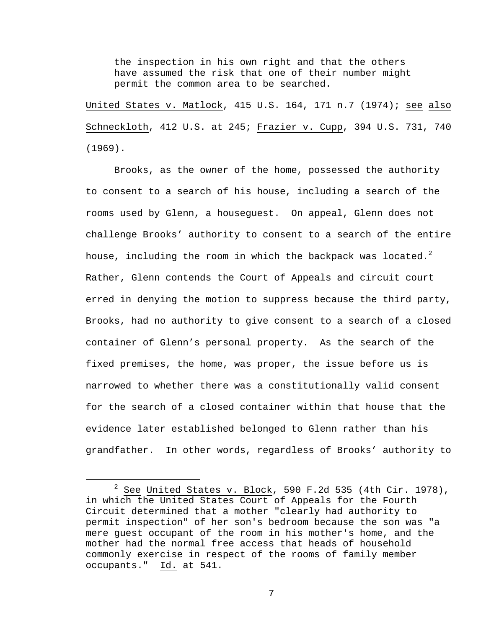the inspection in his own right and that the others have assumed the risk that one of their number might permit the common area to be searched.

United States v. Matlock, 415 U.S. 164, 171 n.7 (1974); see also Schneckloth, 412 U.S. at 245; Frazier v. Cupp, 394 U.S. 731, 740 (1969).

Brooks, as the owner of the home, possessed the authority to consent to a search of his house, including a search of the rooms used by Glenn, a houseguest. On appeal, Glenn does not challenge Brooks' authority to consent to a search of the entire house, including the room in which the backpack was located. $^2$ Rather, Glenn contends the Court of Appeals and circuit court erred in denying the motion to suppress because the third party, Brooks, had no authority to give consent to a search of a closed container of Glenn's personal property. As the search of the fixed premises, the home, was proper, the issue before us is narrowed to whether there was a constitutionally valid consent for the search of a closed container within that house that the evidence later established belonged to Glenn rather than his grandfather. In other words, regardless of Brooks' authority to

 $\overline{\phantom{a}}$  $2$  See United States v. Block, 590 F.2d 535 (4th Cir. 1978), in which the United States Court of Appeals for the Fourth Circuit determined that a mother "clearly had authority to permit inspection" of her son's bedroom because the son was "a mere guest occupant of the room in his mother's home, and the mother had the normal free access that heads of household commonly exercise in respect of the rooms of family member occupants." Id. at 541.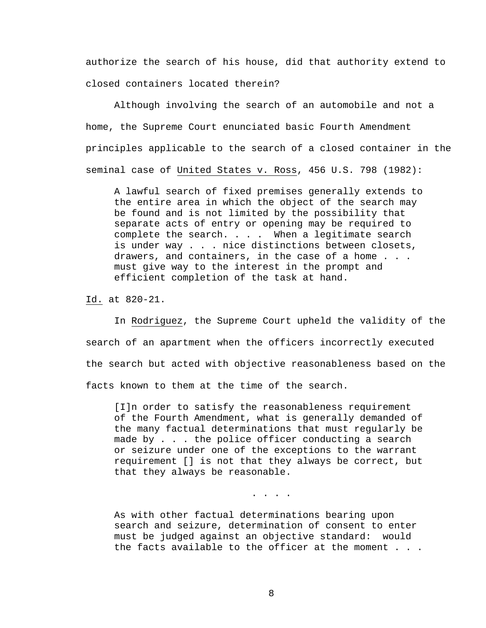authorize the search of his house, did that authority extend to closed containers located therein?

Although involving the search of an automobile and not a home, the Supreme Court enunciated basic Fourth Amendment principles applicable to the search of a closed container in the seminal case of United States v. Ross, 456 U.S. 798 (1982):

A lawful search of fixed premises generally extends to the entire area in which the object of the search may be found and is not limited by the possibility that separate acts of entry or opening may be required to complete the search. . . . When a legitimate search is under way . . . nice distinctions between closets, drawers, and containers, in the case of a home . . . must give way to the interest in the prompt and efficient completion of the task at hand.

Id. at 820-21.

 In Rodriguez, the Supreme Court upheld the validity of the search of an apartment when the officers incorrectly executed the search but acted with objective reasonableness based on the facts known to them at the time of the search.

[I]n order to satisfy the reasonableness requirement of the Fourth Amendment, what is generally demanded of the many factual determinations that must regularly be made by . . . the police officer conducting a search or seizure under one of the exceptions to the warrant requirement [] is not that they always be correct, but that they always be reasonable.

. . . .

As with other factual determinations bearing upon search and seizure, determination of consent to enter must be judged against an objective standard: would the facts available to the officer at the moment . . .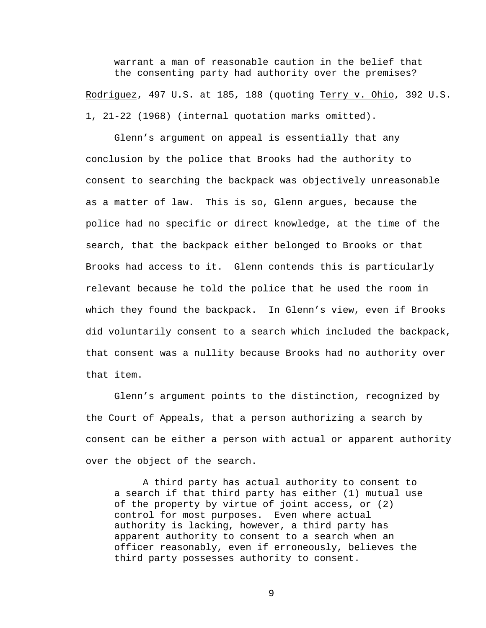warrant a man of reasonable caution in the belief that the consenting party had authority over the premises? Rodriguez, 497 U.S. at 185, 188 (quoting Terry v. Ohio, 392 U.S.

1, 21-22 (1968) (internal quotation marks omitted).

Glenn's argument on appeal is essentially that any conclusion by the police that Brooks had the authority to consent to searching the backpack was objectively unreasonable as a matter of law. This is so, Glenn argues, because the police had no specific or direct knowledge, at the time of the search, that the backpack either belonged to Brooks or that Brooks had access to it. Glenn contends this is particularly relevant because he told the police that he used the room in which they found the backpack. In Glenn's view, even if Brooks did voluntarily consent to a search which included the backpack, that consent was a nullity because Brooks had no authority over that item.

Glenn's argument points to the distinction, recognized by the Court of Appeals, that a person authorizing a search by consent can be either a person with actual or apparent authority over the object of the search.

A third party has actual authority to consent to a search if that third party has either (1) mutual use of the property by virtue of joint access, or (2) control for most purposes. Even where actual authority is lacking, however, a third party has apparent authority to consent to a search when an officer reasonably, even if erroneously, believes the third party possesses authority to consent.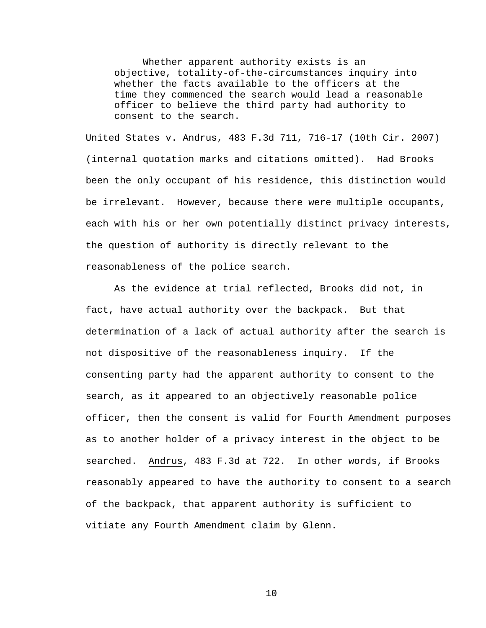Whether apparent authority exists is an objective, totality-of-the-circumstances inquiry into whether the facts available to the officers at the time they commenced the search would lead a reasonable officer to believe the third party had authority to consent to the search.

United States v. Andrus, 483 F.3d 711, 716-17 (10th Cir. 2007) (internal quotation marks and citations omitted). Had Brooks been the only occupant of his residence, this distinction would be irrelevant. However, because there were multiple occupants, each with his or her own potentially distinct privacy interests, the question of authority is directly relevant to the reasonableness of the police search.

 As the evidence at trial reflected, Brooks did not, in fact, have actual authority over the backpack. But that determination of a lack of actual authority after the search is not dispositive of the reasonableness inquiry. If the consenting party had the apparent authority to consent to the search, as it appeared to an objectively reasonable police officer, then the consent is valid for Fourth Amendment purposes as to another holder of a privacy interest in the object to be searched. Andrus, 483 F.3d at 722. In other words, if Brooks reasonably appeared to have the authority to consent to a search of the backpack, that apparent authority is sufficient to vitiate any Fourth Amendment claim by Glenn.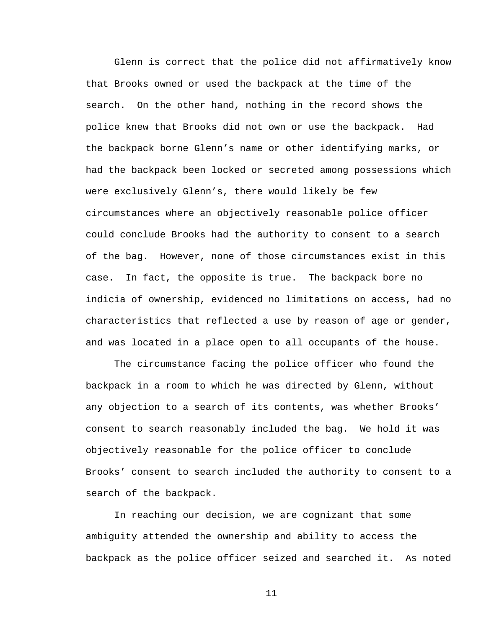Glenn is correct that the police did not affirmatively know that Brooks owned or used the backpack at the time of the search. On the other hand, nothing in the record shows the police knew that Brooks did not own or use the backpack. Had the backpack borne Glenn's name or other identifying marks, or had the backpack been locked or secreted among possessions which were exclusively Glenn's, there would likely be few circumstances where an objectively reasonable police officer could conclude Brooks had the authority to consent to a search of the bag. However, none of those circumstances exist in this case. In fact, the opposite is true. The backpack bore no indicia of ownership, evidenced no limitations on access, had no characteristics that reflected a use by reason of age or gender, and was located in a place open to all occupants of the house.

The circumstance facing the police officer who found the backpack in a room to which he was directed by Glenn, without any objection to a search of its contents, was whether Brooks' consent to search reasonably included the bag. We hold it was objectively reasonable for the police officer to conclude Brooks' consent to search included the authority to consent to a search of the backpack.

In reaching our decision, we are cognizant that some ambiguity attended the ownership and ability to access the backpack as the police officer seized and searched it. As noted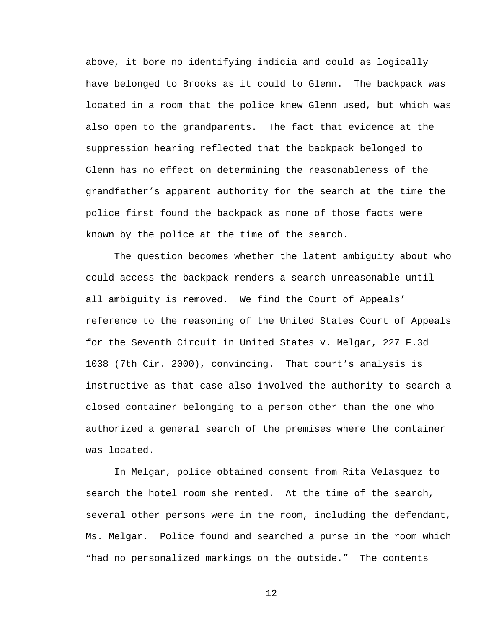above, it bore no identifying indicia and could as logically have belonged to Brooks as it could to Glenn. The backpack was located in a room that the police knew Glenn used, but which was also open to the grandparents. The fact that evidence at the suppression hearing reflected that the backpack belonged to Glenn has no effect on determining the reasonableness of the grandfather's apparent authority for the search at the time the police first found the backpack as none of those facts were known by the police at the time of the search.

The question becomes whether the latent ambiguity about who could access the backpack renders a search unreasonable until all ambiguity is removed. We find the Court of Appeals' reference to the reasoning of the United States Court of Appeals for the Seventh Circuit in United States v. Melgar, 227 F.3d 1038 (7th Cir. 2000), convincing. That court's analysis is instructive as that case also involved the authority to search a closed container belonging to a person other than the one who authorized a general search of the premises where the container was located.

In Melgar, police obtained consent from Rita Velasquez to search the hotel room she rented. At the time of the search, several other persons were in the room, including the defendant, Ms. Melgar. Police found and searched a purse in the room which "had no personalized markings on the outside." The contents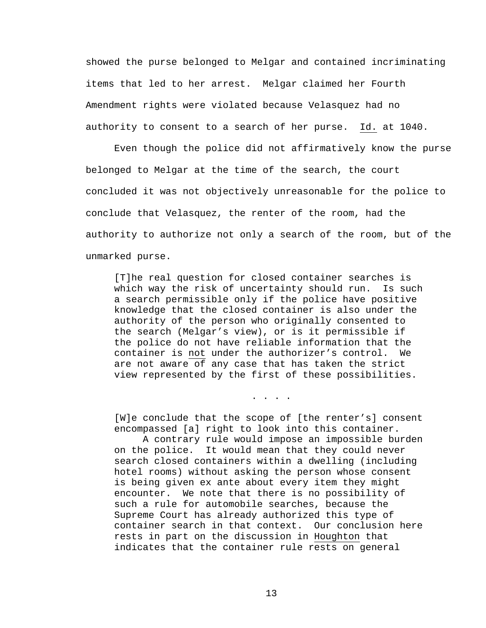showed the purse belonged to Melgar and contained incriminating items that led to her arrest. Melgar claimed her Fourth Amendment rights were violated because Velasquez had no authority to consent to a search of her purse. Id. at 1040.

Even though the police did not affirmatively know the purse belonged to Melgar at the time of the search, the court concluded it was not objectively unreasonable for the police to conclude that Velasquez, the renter of the room, had the authority to authorize not only a search of the room, but of the unmarked purse.

[T]he real question for closed container searches is which way the risk of uncertainty should run. Is such a search permissible only if the police have positive knowledge that the closed container is also under the authority of the person who originally consented to the search (Melgar's view), or is it permissible if the police do not have reliable information that the container is not under the authorizer's control. We are not aware of any case that has taken the strict view represented by the first of these possibilities.

[W]e conclude that the scope of [the renter's] consent encompassed [a] right to look into this container.

. . . .

A contrary rule would impose an impossible burden on the police. It would mean that they could never search closed containers within a dwelling (including hotel rooms) without asking the person whose consent is being given ex ante about every item they might encounter. We note that there is no possibility of such a rule for automobile searches, because the Supreme Court has already authorized this type of container search in that context. Our conclusion here rests in part on the discussion in Houghton that indicates that the container rule rests on general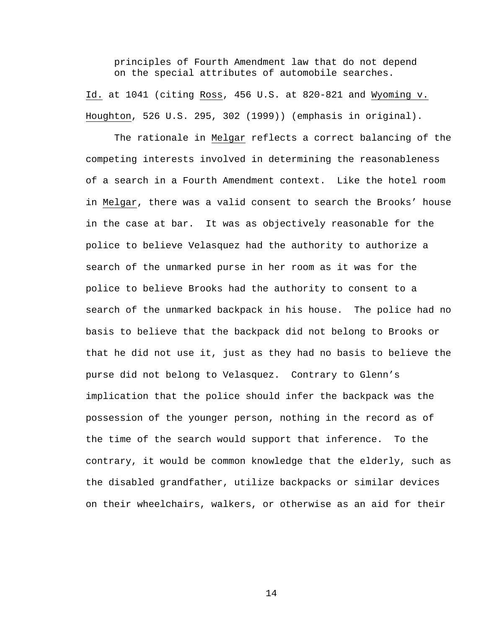principles of Fourth Amendment law that do not depend on the special attributes of automobile searches.

Id. at 1041 (citing Ross, 456 U.S. at 820-821 and Wyoming v. Houghton, 526 U.S. 295, 302 (1999)) (emphasis in original).

 The rationale in Melgar reflects a correct balancing of the competing interests involved in determining the reasonableness of a search in a Fourth Amendment context. Like the hotel room in Melgar, there was a valid consent to search the Brooks' house in the case at bar. It was as objectively reasonable for the police to believe Velasquez had the authority to authorize a search of the unmarked purse in her room as it was for the police to believe Brooks had the authority to consent to a search of the unmarked backpack in his house. The police had no basis to believe that the backpack did not belong to Brooks or that he did not use it, just as they had no basis to believe the purse did not belong to Velasquez. Contrary to Glenn's implication that the police should infer the backpack was the possession of the younger person, nothing in the record as of the time of the search would support that inference. To the contrary, it would be common knowledge that the elderly, such as the disabled grandfather, utilize backpacks or similar devices on their wheelchairs, walkers, or otherwise as an aid for their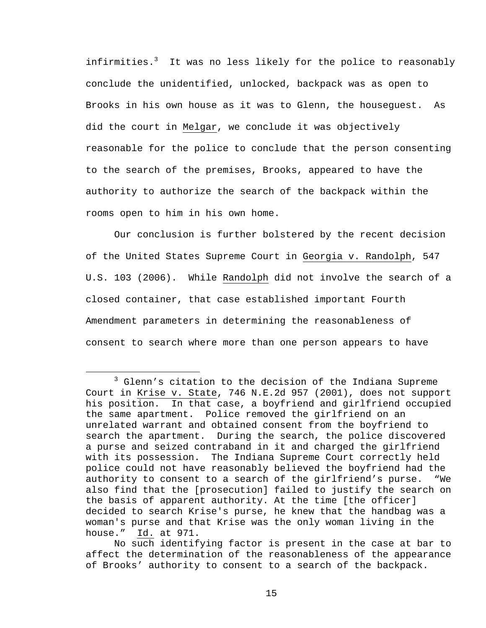infirmities.<sup>3</sup> It was no less likely for the police to reasonably conclude the unidentified, unlocked, backpack was as open to Brooks in his own house as it was to Glenn, the houseguest. As did the court in Melgar, we conclude it was objectively reasonable for the police to conclude that the person consenting to the search of the premises, Brooks, appeared to have the authority to authorize the search of the backpack within the rooms open to him in his own home.

 Our conclusion is further bolstered by the recent decision of the United States Supreme Court in Georgia v. Randolph, 547 U.S. 103 (2006). While Randolph did not involve the search of a closed container, that case established important Fourth Amendment parameters in determining the reasonableness of consent to search where more than one person appears to have

 $\frac{1}{3}$  $3$  Glenn's citation to the decision of the Indiana Supreme Court in Krise v. State, 746 N.E.2d 957 (2001), does not support his position. In that case, a boyfriend and girlfriend occupied the same apartment. Police removed the girlfriend on an unrelated warrant and obtained consent from the boyfriend to search the apartment. During the search, the police discovered a purse and seized contraband in it and charged the girlfriend with its possession. The Indiana Supreme Court correctly held police could not have reasonably believed the boyfriend had the authority to consent to a search of the girlfriend's purse. "We also find that the [prosecution] failed to justify the search on the basis of apparent authority. At the time [the officer] decided to search Krise's purse, he knew that the handbag was a woman's purse and that Krise was the only woman living in the house." Id. at 971.

No such identifying factor is present in the case at bar to affect the determination of the reasonableness of the appearance of Brooks' authority to consent to a search of the backpack.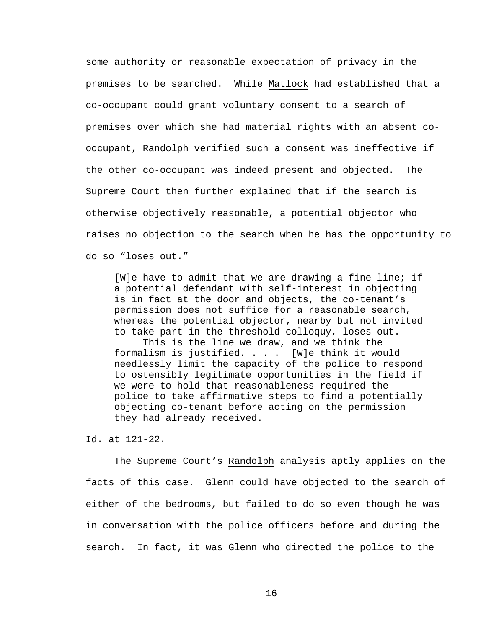some authority or reasonable expectation of privacy in the premises to be searched. While Matlock had established that a co-occupant could grant voluntary consent to a search of premises over which she had material rights with an absent cooccupant, Randolph verified such a consent was ineffective if the other co-occupant was indeed present and objected. The Supreme Court then further explained that if the search is otherwise objectively reasonable, a potential objector who raises no objection to the search when he has the opportunity to do so "loses out."

[W]e have to admit that we are drawing a fine line; if a potential defendant with self-interest in objecting is in fact at the door and objects, the co-tenant's permission does not suffice for a reasonable search, whereas the potential objector, nearby but not invited to take part in the threshold colloquy, loses out. This is the line we draw, and we think the formalism is justified. . . . [W]e think it would needlessly limit the capacity of the police to respond to ostensibly legitimate opportunities in the field if we were to hold that reasonableness required the police to take affirmative steps to find a potentially objecting co-tenant before acting on the permission they had already received.

Id. at 121-22.

 The Supreme Court's Randolph analysis aptly applies on the facts of this case. Glenn could have objected to the search of either of the bedrooms, but failed to do so even though he was in conversation with the police officers before and during the search. In fact, it was Glenn who directed the police to the